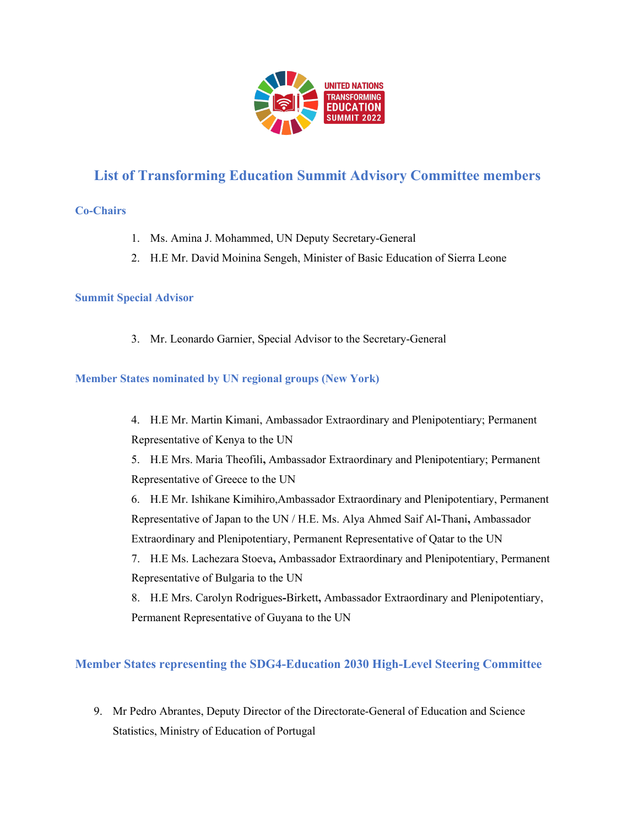

# **List of Transforming Education Summit Advisory Committee members**

# **Co-Chairs**

- 1. Ms. Amina J. Mohammed, UN Deputy Secretary-General
- 2. H.E Mr. David Moinina Sengeh, Minister of Basic Education of Sierra Leone

## **Summit Special Advisor**

3. Mr. Leonardo Garnier, Special Advisor to the Secretary-General

## **Member States nominated by UN regional groups (New York)**

4. H.E Mr. Martin Kimani, Ambassador Extraordinary and Plenipotentiary; Permanent Representative of Kenya to the UN

5. H.E Mrs. Maria Theofili**,** Ambassador Extraordinary and Plenipotentiary; Permanent Representative of Greece to the UN

6. H.E Mr. Ishikane Kimihiro,Ambassador Extraordinary and Plenipotentiary, Permanent Representative of Japan to the UN / H.E. Ms. Alya Ahmed Saif Al**-**Thani**,** Ambassador Extraordinary and Plenipotentiary, Permanent Representative of Qatar to the UN

7. H.E Ms. Lachezara Stoeva**,** Ambassador Extraordinary and Plenipotentiary, Permanent Representative of Bulgaria to the UN

8. H.E Mrs. Carolyn Rodrigues**-**Birkett**,** Ambassador Extraordinary and Plenipotentiary, Permanent Representative of Guyana to the UN

# **Member States representing the SDG4-Education 2030 High-Level Steering Committee**

9. Mr Pedro Abrantes, Deputy Director of the Directorate-General of Education and Science Statistics, Ministry of Education of Portugal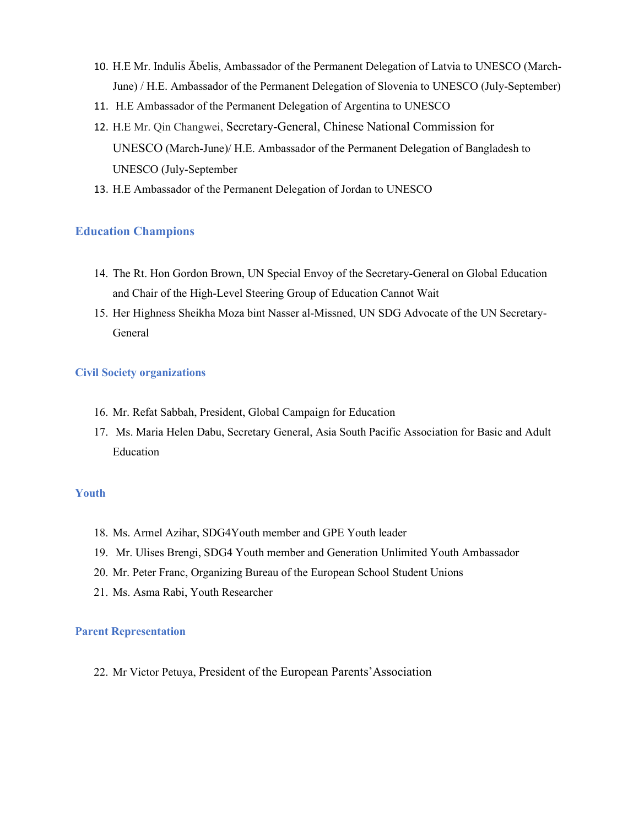- 10. H.E Mr. Indulis Ābelis, Ambassador of the Permanent Delegation of Latvia to UNESCO (March-June) / H.E. Ambassador of the Permanent Delegation of Slovenia to UNESCO (July-September)
- 11. H.E Ambassador of the Permanent Delegation of Argentina to UNESCO
- 12. H.E Mr. Qin Changwei, Secretary-General, Chinese National Commission for UNESCO (March-June)/ H.E. Ambassador of the Permanent Delegation of Bangladesh to UNESCO (July-September
- 13. H.E Ambassador of the Permanent Delegation of Jordan to UNESCO

# **Education Champions**

- 14. The Rt. Hon Gordon Brown, UN Special Envoy of the Secretary-General on Global Education and Chair of the High-Level Steering Group of Education Cannot Wait
- 15. Her Highness Sheikha Moza bint Nasser al-Missned, UN SDG Advocate of the UN Secretary-General

## **Civil Society organizations**

- 16. Mr. Refat Sabbah, President, Global Campaign for Education
- 17. Ms. Maria Helen Dabu, Secretary General, Asia South Pacific Association for Basic and Adult Education

#### **Youth**

- 18. Ms. Armel Azihar, SDG4Youth member and GPE Youth leader
- 19. Mr. Ulises Brengi, SDG4 Youth member and Generation Unlimited Youth Ambassador
- 20. Mr. Peter Franc, Organizing Bureau of the European School Student Unions
- 21. Ms. Asma Rabi, Youth Researcher

#### **Parent Representation**

22. Mr Victor Petuya, President of the European Parents'Association